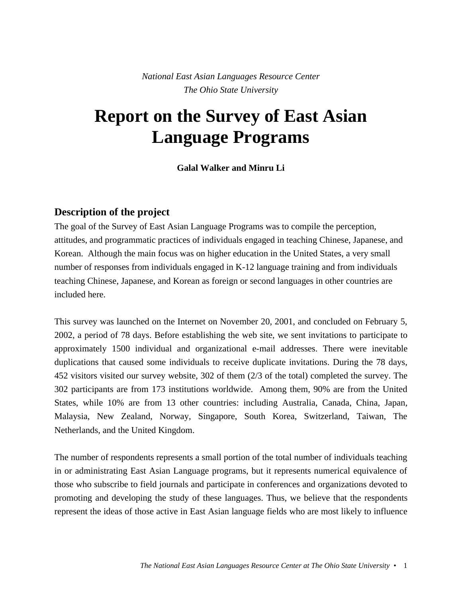*National East Asian Languages Resource Center The Ohio State University*

# **Report on the Survey of East Asian Language Programs**

**Galal Walker and Minru Li**

## **Description of the project**

The goal of the Survey of East Asian Language Programs was to compile the perception, attitudes, and programmatic practices of individuals engaged in teaching Chinese, Japanese, and Korean. Although the main focus was on higher education in the United States, a very small number of responses from individuals engaged in K-12 language training and from individuals teaching Chinese, Japanese, and Korean as foreign or second languages in other countries are included here.

This survey was launched on the Internet on November 20, 2001, and concluded on February 5, 2002, a period of 78 days. Before establishing the web site, we sent invitations to participate to approximately 1500 individual and organizational e-mail addresses. There were inevitable duplications that caused some individuals to receive duplicate invitations. During the 78 days, 452 visitors visited our survey website, 302 of them (2/3 of the total) completed the survey. The 302 participants are from 173 institutions worldwide. Among them, 90% are from the United States, while 10% are from 13 other countries: including Australia, Canada, China, Japan, Malaysia, New Zealand, Norway, Singapore, South Korea, Switzerland, Taiwan, The Netherlands, and the United Kingdom.

The number of respondents represents a small portion of the total number of individuals teaching in or administrating East Asian Language programs, but it represents numerical equivalence of those who subscribe to field journals and participate in conferences and organizations devoted to promoting and developing the study of these languages. Thus, we believe that the respondents represent the ideas of those active in East Asian language fields who are most likely to influence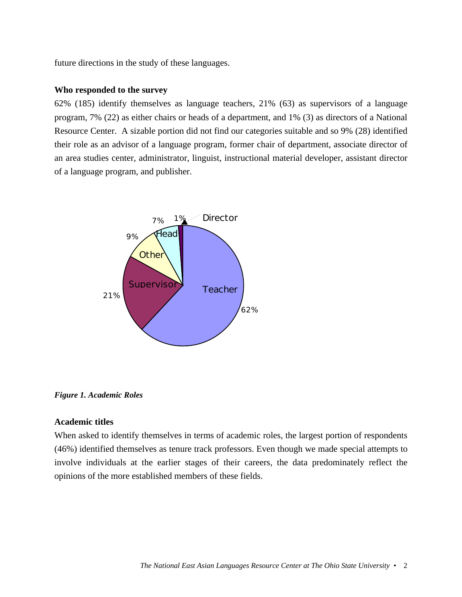future directions in the study of these languages.

#### **Who responded to the survey**

62% (185) identify themselves as language teachers, 21% (63) as supervisors of a language program, 7% (22) as either chairs or heads of a department, and 1% (3) as directors of a National Resource Center. A sizable portion did not find our categories suitable and so 9% (28) identified their role as an advisor of a language program, former chair of department, associate director of an area studies center, administrator, linguist, instructional material developer, assistant director of a language program, and publisher.



*Figure 1. Academic Roles*

#### **Academic titles**

When asked to identify themselves in terms of academic roles, the largest portion of respondents (46%) identified themselves as tenure track professors. Even though we made special attempts to involve individuals at the earlier stages of their careers, the data predominately reflect the opinions of the more established members of these fields.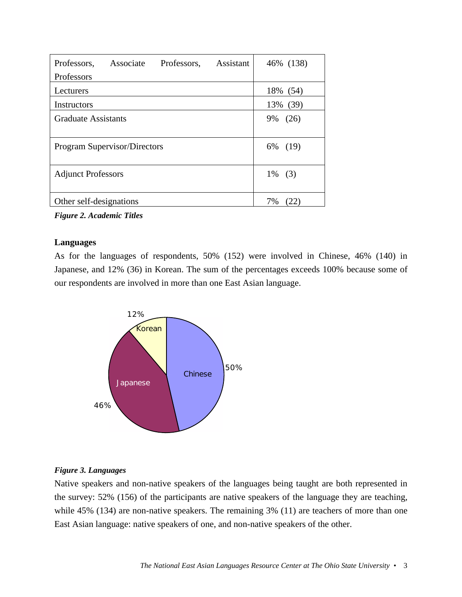| Professors, Assistant<br>Professors,<br>Associate | 46% (138)  |
|---------------------------------------------------|------------|
| Professors                                        |            |
| Lecturers                                         | 18% (54)   |
| Instructors                                       | 13% (39)   |
| <b>Graduate Assistants</b>                        | 9%<br>(26) |
| Program Supervisor/Directors                      | (19)<br>6% |
| <b>Adjunct Professors</b>                         | $1\%$ (3)  |
| Other self-designations                           | 7%         |

*Figure 2. Academic Titles*

## **Languages**

As for the languages of respondents, 50% (152) were involved in Chinese, 46% (140) in Japanese, and 12% (36) in Korean. The sum of the percentages exceeds 100% because some of our respondents are involved in more than one East Asian language.



## *Figure 3. Languages*

Native speakers and non-native speakers of the languages being taught are both represented in the survey: 52% (156) of the participants are native speakers of the language they are teaching, while 45% (134) are non-native speakers. The remaining 3% (11) are teachers of more than one East Asian language: native speakers of one, and non-native speakers of the other.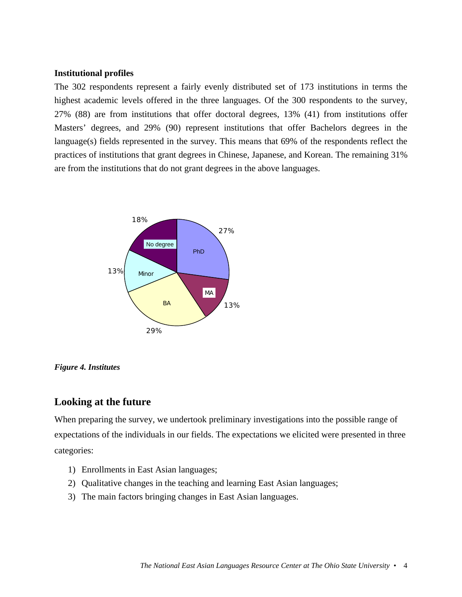#### **Institutional profiles**

The 302 respondents represent a fairly evenly distributed set of 173 institutions in terms the highest academic levels offered in the three languages. Of the 300 respondents to the survey, 27% (88) are from institutions that offer doctoral degrees, 13% (41) from institutions offer Masters' degrees, and 29% (90) represent institutions that offer Bachelors degrees in the language(s) fields represented in the survey. This means that 69% of the respondents reflect the practices of institutions that grant degrees in Chinese, Japanese, and Korean. The remaining 31% are from the institutions that do not grant degrees in the above languages.



*Figure 4. Institutes*

# **Looking at the future**

When preparing the survey, we undertook preliminary investigations into the possible range of expectations of the individuals in our fields. The expectations we elicited were presented in three categories:

- 1) Enrollments in East Asian languages;
- 2) Qualitative changes in the teaching and learning East Asian languages;
- 3) The main factors bringing changes in East Asian languages.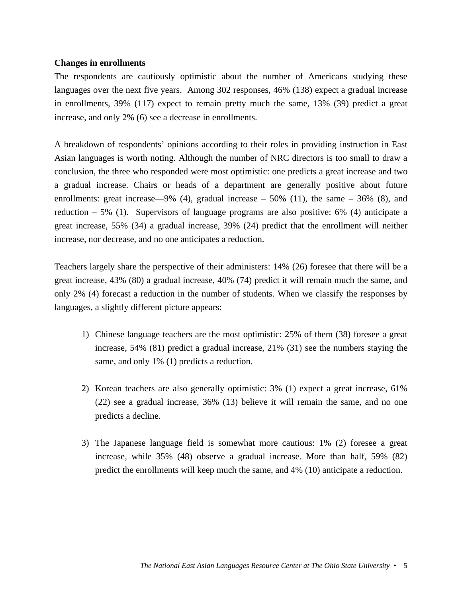#### **Changes in enrollments**

The respondents are cautiously optimistic about the number of Americans studying these languages over the next five years. Among 302 responses, 46% (138) expect a gradual increase in enrollments, 39% (117) expect to remain pretty much the same, 13% (39) predict a great increase, and only 2% (6) see a decrease in enrollments.

A breakdown of respondents' opinions according to their roles in providing instruction in East Asian languages is worth noting. Although the number of NRC directors is too small to draw a conclusion, the three who responded were most optimistic: one predicts a great increase and two a gradual increase. Chairs or heads of a department are generally positive about future enrollments: great increase—9% (4), gradual increase  $-50\%$  (11), the same  $-36\%$  (8), and reduction  $-5\%$  (1). Supervisors of language programs are also positive: 6% (4) anticipate a great increase, 55% (34) a gradual increase, 39% (24) predict that the enrollment will neither increase, nor decrease, and no one anticipates a reduction.

Teachers largely share the perspective of their administers: 14% (26) foresee that there will be a great increase, 43% (80) a gradual increase, 40% (74) predict it will remain much the same, and only 2% (4) forecast a reduction in the number of students. When we classify the responses by languages, a slightly different picture appears:

- 1) Chinese language teachers are the most optimistic: 25% of them (38) foresee a great increase, 54% (81) predict a gradual increase, 21% (31) see the numbers staying the same, and only 1% (1) predicts a reduction.
- 2) Korean teachers are also generally optimistic: 3% (1) expect a great increase, 61% (22) see a gradual increase, 36% (13) believe it will remain the same, and no one predicts a decline.
- 3) The Japanese language field is somewhat more cautious: 1% (2) foresee a great increase, while 35% (48) observe a gradual increase. More than half, 59% (82) predict the enrollments will keep much the same, and 4% (10) anticipate a reduction.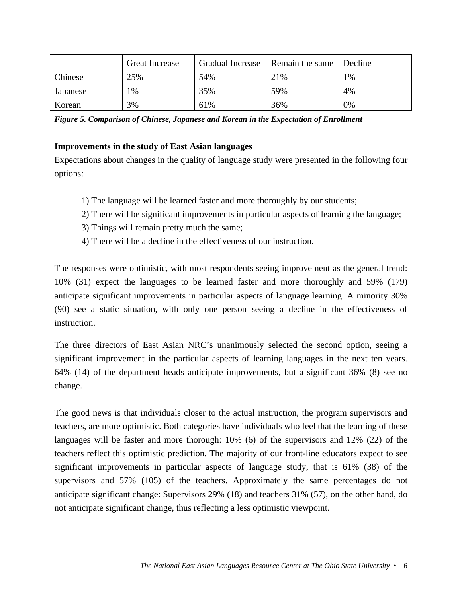|          | <b>Great Increase</b> | <b>Gradual Increase</b> | Remain the same | Decline |
|----------|-----------------------|-------------------------|-----------------|---------|
| Chinese  | 25%                   | 54%                     | 21%             | 1%      |
| Japanese | 1%                    | 35%                     | 59%             | 4%      |
| Korean   | 3%                    | 61%                     | 36%             | 0%      |

*Figure 5. Comparison of Chinese, Japanese and Korean in the Expectation of Enrollment*

## **Improvements in the study of East Asian languages**

Expectations about changes in the quality of language study were presented in the following four options:

- 1) The language will be learned faster and more thoroughly by our students;
- 2) There will be significant improvements in particular aspects of learning the language;
- 3) Things will remain pretty much the same;
- 4) There will be a decline in the effectiveness of our instruction.

The responses were optimistic, with most respondents seeing improvement as the general trend: 10% (31) expect the languages to be learned faster and more thoroughly and 59% (179) anticipate significant improvements in particular aspects of language learning. A minority 30% (90) see a static situation, with only one person seeing a decline in the effectiveness of instruction.

The three directors of East Asian NRC's unanimously selected the second option, seeing a significant improvement in the particular aspects of learning languages in the next ten years. 64% (14) of the department heads anticipate improvements, but a significant 36% (8) see no change.

The good news is that individuals closer to the actual instruction, the program supervisors and teachers, are more optimistic. Both categories have individuals who feel that the learning of these languages will be faster and more thorough: 10% (6) of the supervisors and 12% (22) of the teachers reflect this optimistic prediction. The majority of our front-line educators expect to see significant improvements in particular aspects of language study, that is 61% (38) of the supervisors and 57% (105) of the teachers. Approximately the same percentages do not anticipate significant change: Supervisors 29% (18) and teachers 31% (57), on the other hand, do not anticipate significant change, thus reflecting a less optimistic viewpoint.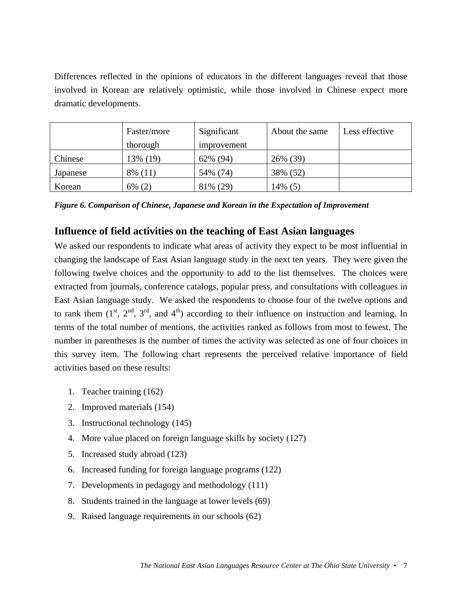Differences reflected in the opinions of educators in the different languages reveal that those involved in Korean are relatively optimistic, while those involved in Chinese expect more dramatic developments.

|          | Faster/more | Significant | About the same | Less effective |
|----------|-------------|-------------|----------------|----------------|
|          | thorough    | improvement |                |                |
| Chinese  | 13% (19)    | 62% (94)    | 26% (39)       |                |
| Japanese | 8% (11)     | 54% (74)    | 38% (52)       |                |
| Korean   | $6\%$ (2)   | 81% (29)    | 14% (5)        |                |

*Figure 6. Comparison of Chinese, Japanese and Korean in the Expectation of Improvement*

# **Influence of field activities on the teaching of East Asian languages**

We asked our respondents to indicate what areas of activity they expect to be most influential in changing the landscape of East Asian language study in the next ten years. They were given the following twelve choices and the opportunity to add to the list themselves. The choices were extracted from journals, conference catalogs, popular press, and consultations with colleagues in East Asian language study. We asked the respondents to choose four of the twelve options and to rank them  $(1^{st}, 2^{nd}, 3^{rd},$  and  $4^{th}$ ) according to their influence on instruction and learning. In terms of the total number of mentions, the activities ranked as follows from most to fewest. The number in parentheses is the number of times the activity was selected as one of four choices in this survey item. The following chart represents the perceived relative importance of field activities based on these results:

- 1. Teacher training (162)
- 2. Improved materials (154)
- 3. Instructional technology (145)
- 4. More value placed on foreign language skills by society (127)
- 5. Increased study abroad (123)
- 6. Increased funding for foreign language programs (122)
- 7. Developments in pedagogy and methodology (111)
- 8. Students trained in the language at lower levels (69)
- 9. Raised language requirements in our schools (62)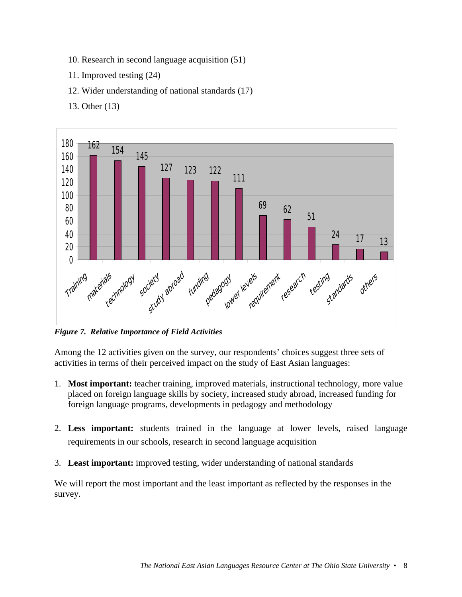- 10. Research in second language acquisition (51)
- 11. Improved testing (24)
- 12. Wider understanding of national standards (17)
- 13. Other (13)



*Figure 7. Relative Importance of Field Activities*

Among the 12 activities given on the survey, our respondents' choices suggest three sets of activities in terms of their perceived impact on the study of East Asian languages:

- 1. **Most important:** teacher training, improved materials, instructional technology, more value placed on foreign language skills by society, increased study abroad, increased funding for foreign language programs, developments in pedagogy and methodology
- 2. **Less important:** students trained in the language at lower levels, raised language requirements in our schools, research in second language acquisition
- 3. **Least important:** improved testing, wider understanding of national standards

We will report the most important and the least important as reflected by the responses in the survey.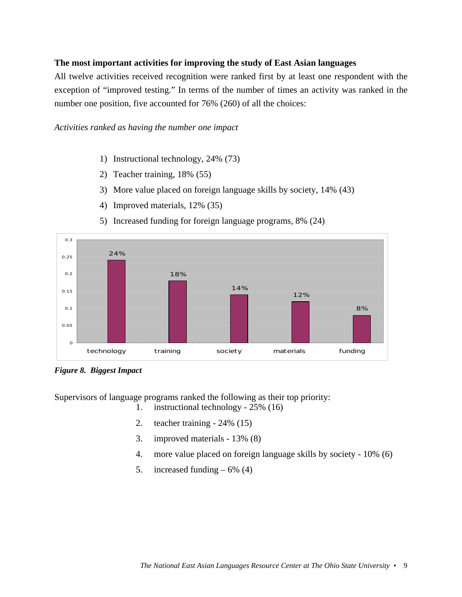## **The most important activities for improving the study of East Asian languages**

All twelve activities received recognition were ranked first by at least one respondent with the exception of "improved testing." In terms of the number of times an activity was ranked in the number one position, five accounted for 76% (260) of all the choices:

#### *Activities ranked as having the number one impact*

- 1) Instructional technology, 24% (73)
- 2) Teacher training, 18% (55)
- 3) More value placed on foreign language skills by society, 14% (43)
- 4) Improved materials, 12% (35)



5) Increased funding for foreign language programs, 8% (24)

*Figure 8. Biggest Impact*

Supervisors of language programs ranked the following as their top priority:

- 1. instructional technology 25% (16)
- 2. teacher training 24% (15)
- 3. improved materials 13% (8)
- 4. more value placed on foreign language skills by society 10% (6)
- 5. increased funding  $-6\%$  (4)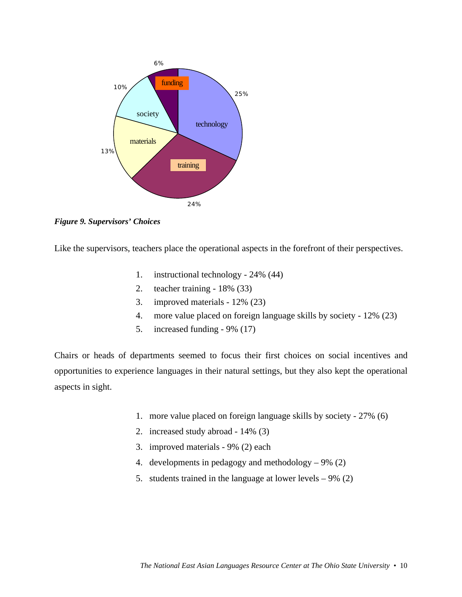

*Figure 9. Supervisors' Choices*

Like the supervisors, teachers place the operational aspects in the forefront of their perspectives.

- 1. instructional technology 24% (44)
- 2. teacher training 18% (33)
- 3. improved materials 12% (23)
- 4. more value placed on foreign language skills by society 12% (23)
- 5. increased funding 9% (17)

Chairs or heads of departments seemed to focus their first choices on social incentives and opportunities to experience languages in their natural settings, but they also kept the operational aspects in sight.

- 1. more value placed on foreign language skills by society 27% (6)
- 2. increased study abroad 14% (3)
- 3. improved materials 9% (2) each
- 4. developments in pedagogy and methodology 9% (2)
- 5. students trained in the language at lower levels 9% (2)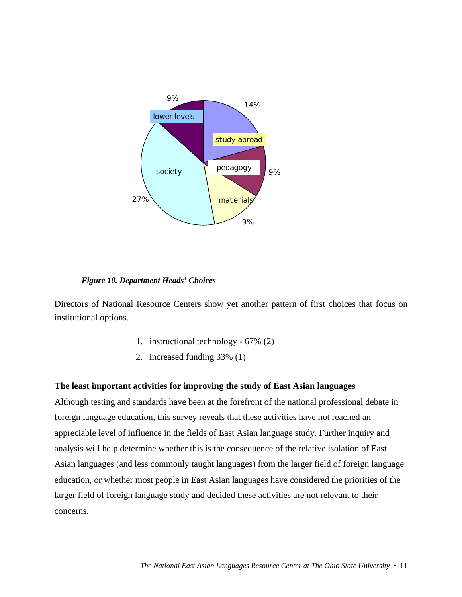

*Figure 10. Department Heads' Choices*

Directors of National Resource Centers show yet another pattern of first choices that focus on institutional options.

- 1. instructional technology 67% (2)
- 2. increased funding 33% (1)

#### **The least important activities for improving the study of East Asian languages**

Although testing and standards have been at the forefront of the national professional debate in foreign language education, this survey reveals that these activities have not reached an appreciable level of influence in the fields of East Asian language study. Further inquiry and analysis will help determine whether this is the consequence of the relative isolation of East Asian languages (and less commonly taught languages) from the larger field of foreign language education, or whether most people in East Asian languages have considered the priorities of the larger field of foreign language study and decided these activities are not relevant to their concerns.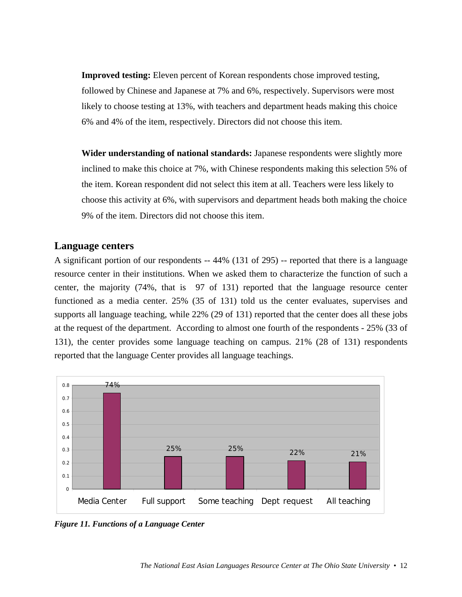**Improved testing:** Eleven percent of Korean respondents chose improved testing, followed by Chinese and Japanese at 7% and 6%, respectively. Supervisors were most likely to choose testing at 13%, with teachers and department heads making this choice 6% and 4% of the item, respectively. Directors did not choose this item.

**Wider understanding of national standards:** Japanese respondents were slightly more inclined to make this choice at 7%, with Chinese respondents making this selection 5% of the item. Korean respondent did not select this item at all. Teachers were less likely to choose this activity at 6%, with supervisors and department heads both making the choice 9% of the item. Directors did not choose this item.

# **Language centers**

A significant portion of our respondents -- 44% (131 of 295) -- reported that there is a language resource center in their institutions. When we asked them to characterize the function of such a center, the majority (74%, that is 97 of 131) reported that the language resource center functioned as a media center. 25% (35 of 131) told us the center evaluates, supervises and supports all language teaching, while 22% (29 of 131) reported that the center does all these jobs at the request of the department. According to almost one fourth of the respondents - 25% (33 of 131), the center provides some language teaching on campus. 21% (28 of 131) respondents reported that the language Center provides all language teachings.



*Figure 11. Functions of a Language Center*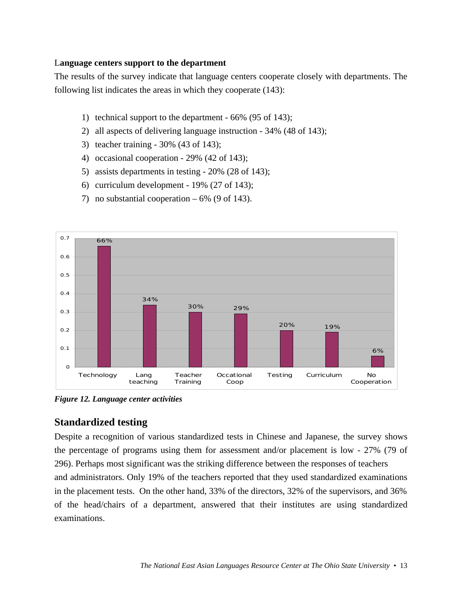## L**anguage centers support to the department**

The results of the survey indicate that language centers cooperate closely with departments. The following list indicates the areas in which they cooperate (143):

- 1) technical support to the department 66% (95 of 143);
- 2) all aspects of delivering language instruction 34% (48 of 143);
- 3) teacher training 30% (43 of 143);
- 4) occasional cooperation 29% (42 of 143);
- 5) assists departments in testing 20% (28 of 143);
- 6) curriculum development 19% (27 of 143);
- 7) no substantial cooperation  $-6\%$  (9 of 143).



*Figure 12. Language center activities*

# **Standardized testing**

Despite a recognition of various standardized tests in Chinese and Japanese, the survey shows the percentage of programs using them for assessment and/or placement is low - 27% (79 of 296). Perhaps most significant was the striking difference between the responses of teachers and administrators. Only 19% of the teachers reported that they used standardized examinations in the placement tests. On the other hand, 33% of the directors, 32% of the supervisors, and 36% of the head/chairs of a department, answered that their institutes are using standardized examinations.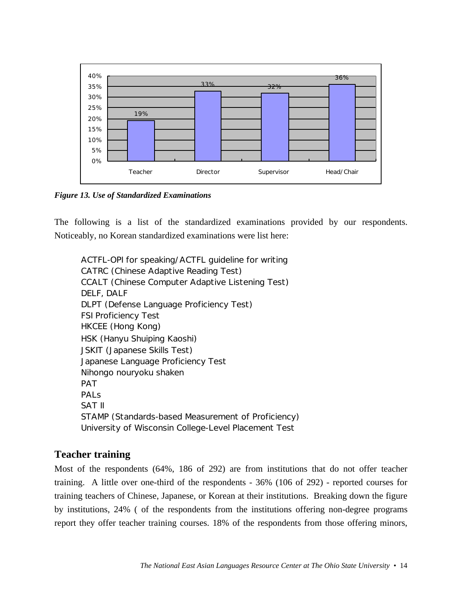

*Figure 13. Use of Standardized Examinations*

The following is a list of the standardized examinations provided by our respondents. Noticeably, no Korean standardized examinations were list here:

ACTFL-OPI for speaking/ACTFL guideline for writing CATRC (Chinese Adaptive Reading Test) CCALT (Chinese Computer Adaptive Listening Test) DELF, DALF DLPT (Defense Language Proficiency Test) FSI Proficiency Test HKCEE (Hong Kong) HSK (Hanyu Shuiping Kaoshi) JSKIT (Japanese Skills Test) Japanese Language Proficiency Test Nihongo nouryoku shaken PAT PAL<sub>S</sub> SAT II STAMP (Standards-based Measurement of Proficiency) University of Wisconsin College-Level Placement Test

# **Teacher training**

Most of the respondents (64%, 186 of 292) are from institutions that do not offer teacher training. A little over one-third of the respondents - 36% (106 of 292) - reported courses for training teachers of Chinese, Japanese, or Korean at their institutions. Breaking down the figure by institutions, 24% ( of the respondents from the institutions offering non-degree programs report they offer teacher training courses. 18% of the respondents from those offering minors,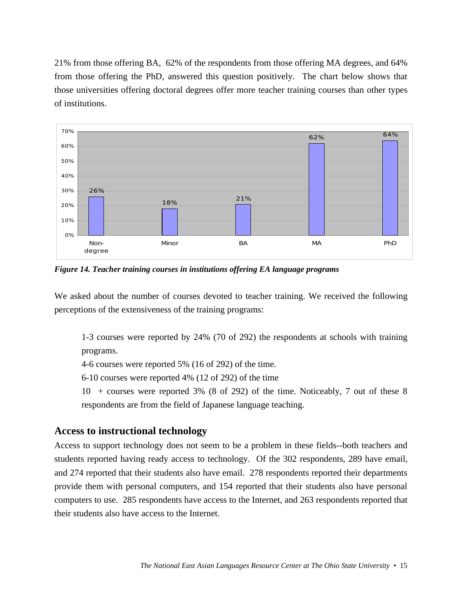21% from those offering BA, 62% of the respondents from those offering MA degrees, and 64% from those offering the PhD, answered this question positively. The chart below shows that those universities offering doctoral degrees offer more teacher training courses than other types of institutions.



*Figure 14. Teacher training courses in institutions offering EA language programs*

We asked about the number of courses devoted to teacher training. We received the following perceptions of the extensiveness of the training programs:

1-3 courses were reported by 24% (70 of 292) the respondents at schools with training programs.

4-6 courses were reported 5% (16 of 292) of the time.

6-10 courses were reported 4% (12 of 292) of the time

10 + courses were reported 3% (8 of 292) of the time. Noticeably, 7 out of these 8 respondents are from the field of Japanese language teaching.

## **Access to instructional technology**

Access to support technology does not seem to be a problem in these fields--both teachers and students reported having ready access to technology. Of the 302 respondents, 289 have email, and 274 reported that their students also have email. 278 respondents reported their departments provide them with personal computers, and 154 reported that their students also have personal computers to use. 285 respondents have access to the Internet, and 263 respondents reported that their students also have access to the Internet.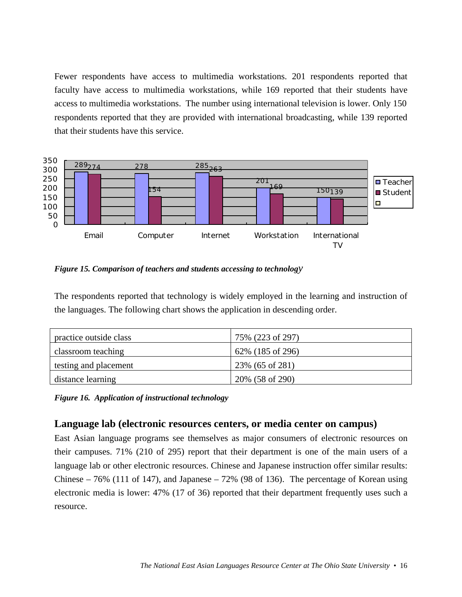Fewer respondents have access to multimedia workstations. 201 respondents reported that faculty have access to multimedia workstations, while 169 reported that their students have access to multimedia workstations. The number using international television is lower. Only 150 respondents reported that they are provided with international broadcasting, while 139 reported that their students have this service.



*Figure 15. Comparison of teachers and students accessing to technology*

The respondents reported that technology is widely employed in the learning and instruction of the languages. The following chart shows the application in descending order.

| practice outside class | 75% (223 of 297) |
|------------------------|------------------|
| classroom teaching     | 62% (185 of 296) |
| testing and placement  | 23\% (65 of 281) |
| distance learning      | 20% (58 of 290)  |

*Figure 16. Application of instructional technology*

# **Language lab (electronic resources centers, or media center on campus)**

East Asian language programs see themselves as major consumers of electronic resources on their campuses. 71% (210 of 295) report that their department is one of the main users of a language lab or other electronic resources. Chinese and Japanese instruction offer similar results: Chinese – 76% (111 of 147), and Japanese – 72% (98 of 136). The percentage of Korean using electronic media is lower: 47% (17 of 36) reported that their department frequently uses such a resource.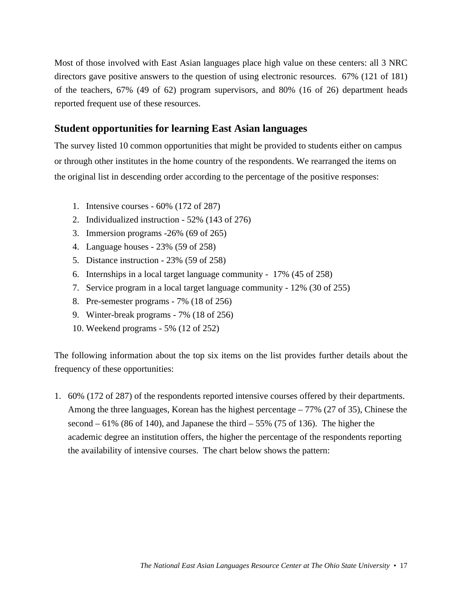Most of those involved with East Asian languages place high value on these centers: all 3 NRC directors gave positive answers to the question of using electronic resources. 67% (121 of 181) of the teachers, 67% (49 of 62) program supervisors, and 80% (16 of 26) department heads reported frequent use of these resources.

# **Student opportunities for learning East Asian languages**

The survey listed 10 common opportunities that might be provided to students either on campus or through other institutes in the home country of the respondents. We rearranged the items on the original list in descending order according to the percentage of the positive responses:

- 1. Intensive courses 60% (172 of 287)
- 2. Individualized instruction 52% (143 of 276)
- 3. Immersion programs -26% (69 of 265)
- 4. Language houses 23% (59 of 258)
- 5. Distance instruction 23% (59 of 258)
- 6. Internships in a local target language community 17% (45 of 258)
- 7. Service program in a local target language community 12% (30 of 255)
- 8. Pre-semester programs 7% (18 of 256)
- 9. Winter-break programs 7% (18 of 256)
- 10. Weekend programs 5% (12 of 252)

The following information about the top six items on the list provides further details about the frequency of these opportunities:

1. 60% (172 of 287) of the respondents reported intensive courses offered by their departments. Among the three languages, Korean has the highest percentage – 77% (27 of 35), Chinese the second  $-61\%$  (86 of 140), and Japanese the third  $-55\%$  (75 of 136). The higher the academic degree an institution offers, the higher the percentage of the respondents reporting the availability of intensive courses. The chart below shows the pattern: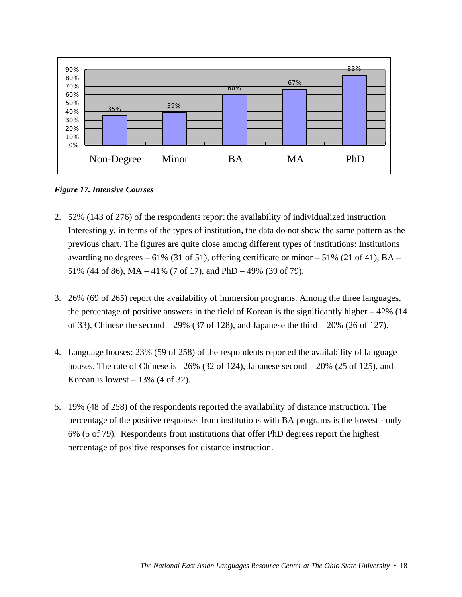

*Figure 17. Intensive Courses*

- 2. 52% (143 of 276) of the respondents report the availability of individualized instruction Interestingly, in terms of the types of institution, the data do not show the same pattern as the previous chart. The figures are quite close among different types of institutions: Institutions awarding no degrees  $-61\%$  (31 of 51), offering certificate or minor  $-51\%$  (21 of 41), BA – 51% (44 of 86), MA – 41% (7 of 17), and PhD – 49% (39 of 79).
- 3. 26% (69 of 265) report the availability of immersion programs. Among the three languages, the percentage of positive answers in the field of Korean is the significantly higher  $-42\%$  (14) of 33), Chinese the second – 29% (37 of 128), and Japanese the third – 20% (26 of 127).
- 4. Language houses: 23% (59 of 258) of the respondents reported the availability of language houses. The rate of Chinese is  $-26\%$  (32 of 124), Japanese second  $-20\%$  (25 of 125), and Korean is lowest  $-13\%$  (4 of 32).
- 5. 19% (48 of 258) of the respondents reported the availability of distance instruction. The percentage of the positive responses from institutions with BA programs is the lowest - only 6% (5 of 79). Respondents from institutions that offer PhD degrees report the highest percentage of positive responses for distance instruction.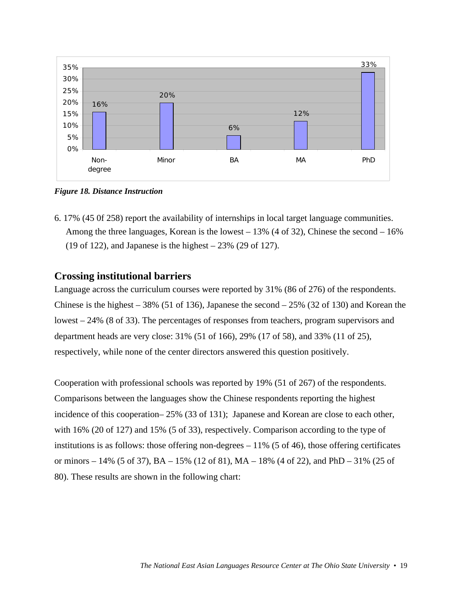

*Figure 18. Distance Instruction*

6. 17% (45 0f 258) report the availability of internships in local target language communities. Among the three languages, Korean is the lowest – 13% (4 of 32), Chinese the second – 16% (19 of 122), and Japanese is the highest – 23% (29 of 127).

## **Crossing institutional barriers**

Language across the curriculum courses were reported by 31% (86 of 276) of the respondents. Chinese is the highest  $-38\%$  (51 of 136), Japanese the second  $-25\%$  (32 of 130) and Korean the lowest – 24% (8 of 33). The percentages of responses from teachers, program supervisors and department heads are very close: 31% (51 of 166), 29% (17 of 58), and 33% (11 of 25), respectively, while none of the center directors answered this question positively.

Cooperation with professional schools was reported by 19% (51 of 267) of the respondents. Comparisons between the languages show the Chinese respondents reporting the highest incidence of this cooperation– 25% (33 of 131); Japanese and Korean are close to each other, with 16% (20 of 127) and 15% (5 of 33), respectively. Comparison according to the type of institutions is as follows: those offering non-degrees  $-11\%$  (5 of 46), those offering certificates or minors – 14% (5 of 37),  $BA - 15%$  (12 of 81),  $MA - 18%$  (4 of 22), and PhD – 31% (25 of 80). These results are shown in the following chart: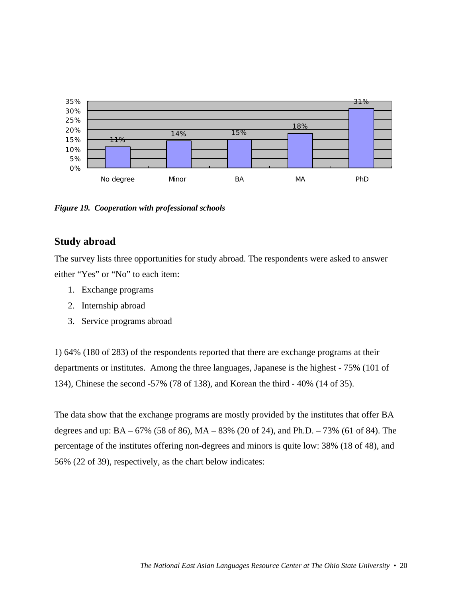

*Figure 19. Cooperation with professional schools*

## **Study abroad**

The survey lists three opportunities for study abroad. The respondents were asked to answer either "Yes" or "No" to each item:

- 1. Exchange programs
- 2. Internship abroad
- 3. Service programs abroad

1) 64% (180 of 283) of the respondents reported that there are exchange programs at their departments or institutes. Among the three languages, Japanese is the highest - 75% (101 of 134), Chinese the second -57% (78 of 138), and Korean the third - 40% (14 of 35).

The data show that the exchange programs are mostly provided by the institutes that offer BA degrees and up: BA – 67% (58 of 86), MA – 83% (20 of 24), and Ph.D. – 73% (61 of 84). The percentage of the institutes offering non-degrees and minors is quite low: 38% (18 of 48), and 56% (22 of 39), respectively, as the chart below indicates: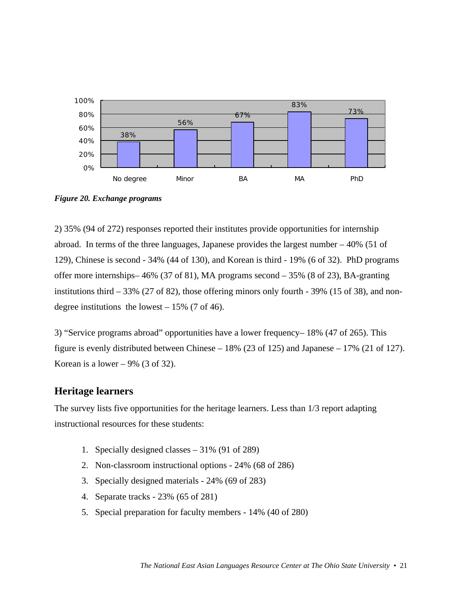

*Figure 20. Exchange programs*

2) 35% (94 of 272) responses reported their institutes provide opportunities for internship abroad. In terms of the three languages, Japanese provides the largest number – 40% (51 of 129), Chinese is second - 34% (44 of 130), and Korean is third - 19% (6 of 32). PhD programs offer more internships– 46% (37 of 81), MA programs second  $-35%$  (8 of 23), BA-granting institutions third – 33% (27 of 82), those offering minors only fourth - 39% (15 of 38), and nondegree institutions the lowest  $-15\%$  (7 of 46).

3) "Service programs abroad" opportunities have a lower frequency– 18% (47 of 265). This figure is evenly distributed between Chinese – 18% (23 of 125) and Japanese – 17% (21 of 127). Korean is a lower  $-9\%$  (3 of 32).

# **Heritage learners**

The survey lists five opportunities for the heritage learners. Less than 1/3 report adapting instructional resources for these students:

- 1. Specially designed classes 31% (91 of 289)
- 2. Non-classroom instructional options 24% (68 of 286)
- 3. Specially designed materials 24% (69 of 283)
- 4. Separate tracks 23% (65 of 281)
- 5. Special preparation for faculty members 14% (40 of 280)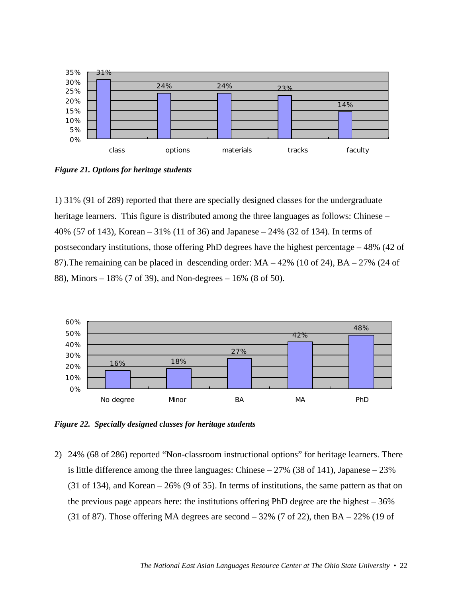

*Figure 21. Options for heritage students*

1) 31% (91 of 289) reported that there are specially designed classes for the undergraduate heritage learners. This figure is distributed among the three languages as follows: Chinese – 40% (57 of 143), Korean – 31% (11 of 36) and Japanese – 24% (32 of 134). In terms of postsecondary institutions, those offering PhD degrees have the highest percentage – 48% (42 of 87).The remaining can be placed in descending order: MA – 42% (10 of 24), BA – 27% (24 of 88), Minors – 18% (7 of 39), and Non-degrees – 16% (8 of 50).



*Figure 22. Specially designed classes for heritage students*

2) 24% (68 of 286) reported "Non-classroom instructional options" for heritage learners. There is little difference among the three languages: Chinese – 27% (38 of 141), Japanese – 23% (31 of 134), and Korean – 26% (9 of 35). In terms of institutions, the same pattern as that on the previous page appears here: the institutions offering PhD degree are the highest – 36% (31 of 87). Those offering MA degrees are second  $-32\%$  (7 of 22), then BA  $-22\%$  (19 of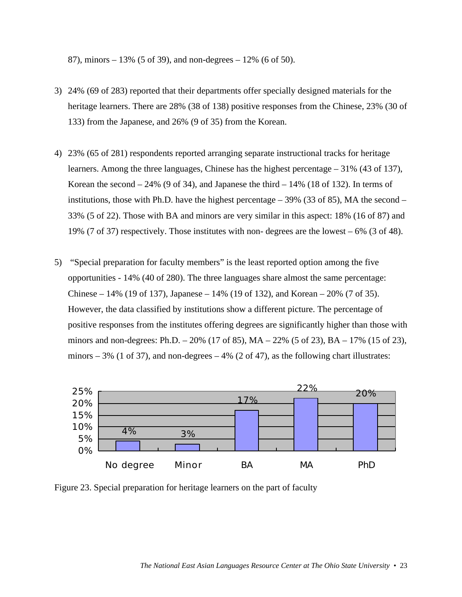87), minors – 13% (5 of 39), and non-degrees – 12% (6 of 50).

- 3) 24% (69 of 283) reported that their departments offer specially designed materials for the heritage learners. There are 28% (38 of 138) positive responses from the Chinese, 23% (30 of 133) from the Japanese, and 26% (9 of 35) from the Korean.
- 4) 23% (65 of 281) respondents reported arranging separate instructional tracks for heritage learners. Among the three languages, Chinese has the highest percentage – 31% (43 of 137), Korean the second  $-24\%$  (9 of 34), and Japanese the third  $-14\%$  (18 of 132). In terms of institutions, those with Ph.D. have the highest percentage  $-39\%$  (33 of 85), MA the second – 33% (5 of 22). Those with BA and minors are very similar in this aspect: 18% (16 of 87) and 19% (7 of 37) respectively. Those institutes with non- degrees are the lowest – 6% (3 of 48).
- 5) "Special preparation for faculty members" is the least reported option among the five opportunities - 14% (40 of 280). The three languages share almost the same percentage: Chinese – 14% (19 of 137), Japanese – 14% (19 of 132), and Korean – 20% (7 of 35). However, the data classified by institutions show a different picture. The percentage of positive responses from the institutes offering degrees are significantly higher than those with minors and non-degrees: Ph.D.  $-20\%$  (17 of 85), MA  $-22\%$  (5 of 23), BA  $-17\%$  (15 of 23), minors – 3% (1 of 37), and non-degrees – 4% (2 of 47), as the following chart illustrates:



Figure 23. Special preparation for heritage learners on the part of faculty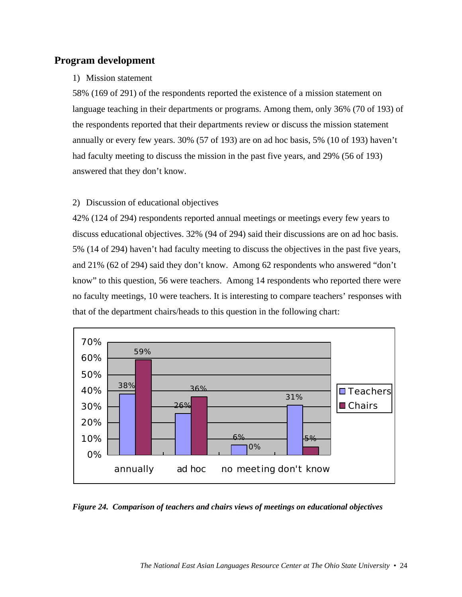## **Program development**

## 1) Mission statement

58% (169 of 291) of the respondents reported the existence of a mission statement on language teaching in their departments or programs. Among them, only 36% (70 of 193) of the respondents reported that their departments review or discuss the mission statement annually or every few years. 30% (57 of 193) are on ad hoc basis, 5% (10 of 193) haven't had faculty meeting to discuss the mission in the past five years, and 29% (56 of 193) answered that they don't know.

## 2) Discussion of educational objectives

42% (124 of 294) respondents reported annual meetings or meetings every few years to discuss educational objectives. 32% (94 of 294) said their discussions are on ad hoc basis. 5% (14 of 294) haven't had faculty meeting to discuss the objectives in the past five years, and 21% (62 of 294) said they don't know. Among 62 respondents who answered "don't know" to this question, 56 were teachers. Among 14 respondents who reported there were no faculty meetings, 10 were teachers. It is interesting to compare teachers' responses with that of the department chairs/heads to this question in the following chart:



*Figure 24. Comparison of teachers and chairs views of meetings on educational objectives*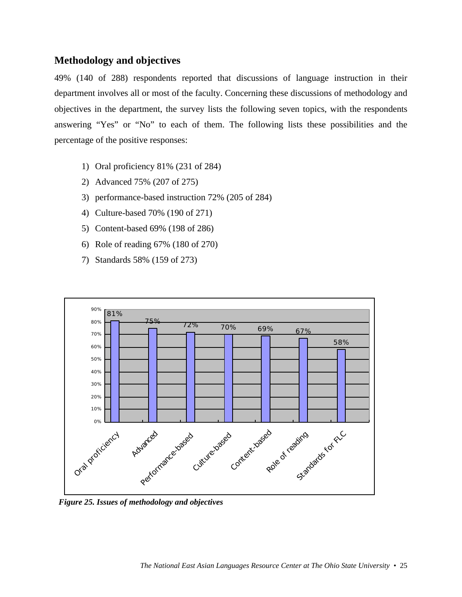# **Methodology and objectives**

49% (140 of 288) respondents reported that discussions of language instruction in their department involves all or most of the faculty. Concerning these discussions of methodology and objectives in the department, the survey lists the following seven topics, with the respondents answering "Yes" or "No" to each of them. The following lists these possibilities and the percentage of the positive responses:

- 1) Oral proficiency 81% (231 of 284)
- 2) Advanced 75% (207 of 275)
- 3) performance-based instruction 72% (205 of 284)
- 4) Culture-based 70% (190 of 271)
- 5) Content-based 69% (198 of 286)
- 6) Role of reading 67% (180 of 270)
- 7) Standards 58% (159 of 273)



*Figure 25. Issues of methodology and objectives*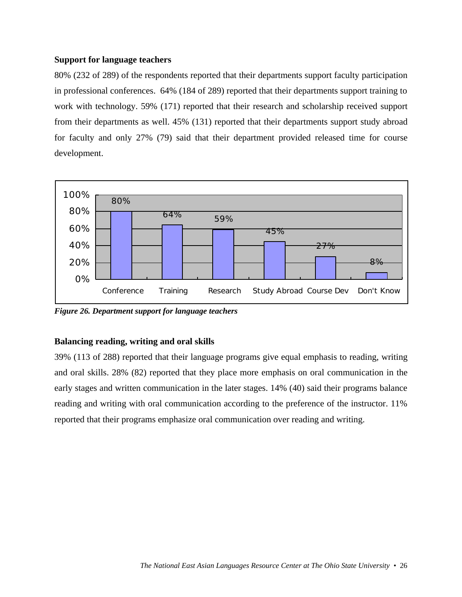## **Support for language teachers**

80% (232 of 289) of the respondents reported that their departments support faculty participation in professional conferences. 64% (184 of 289) reported that their departments support training to work with technology. 59% (171) reported that their research and scholarship received support from their departments as well. 45% (131) reported that their departments support study abroad for faculty and only 27% (79) said that their department provided released time for course development.



*Figure 26. Department support for language teachers*

## **Balancing reading, writing and oral skills**

39% (113 of 288) reported that their language programs give equal emphasis to reading, writing and oral skills. 28% (82) reported that they place more emphasis on oral communication in the early stages and written communication in the later stages. 14% (40) said their programs balance reading and writing with oral communication according to the preference of the instructor. 11% reported that their programs emphasize oral communication over reading and writing.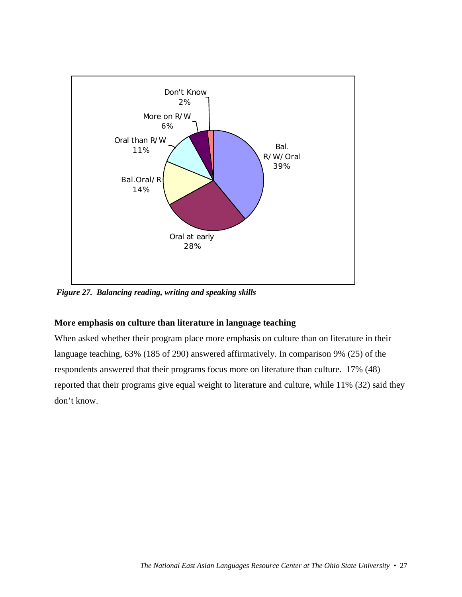

 *Figure 27. Balancing reading, writing and speaking skills*

## **More emphasis on culture than literature in language teaching**

When asked whether their program place more emphasis on culture than on literature in their language teaching, 63% (185 of 290) answered affirmatively. In comparison 9% (25) of the respondents answered that their programs focus more on literature than culture. 17% (48) reported that their programs give equal weight to literature and culture, while 11% (32) said they don't know.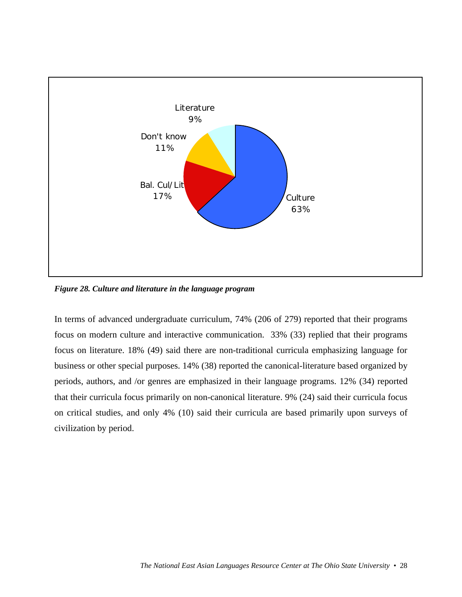

*Figure 28. Culture and literature in the language program*

In terms of advanced undergraduate curriculum, 74% (206 of 279) reported that their programs focus on modern culture and interactive communication. 33% (33) replied that their programs focus on literature. 18% (49) said there are non-traditional curricula emphasizing language for business or other special purposes. 14% (38) reported the canonical-literature based organized by periods, authors, and /or genres are emphasized in their language programs. 12% (34) reported that their curricula focus primarily on non-canonical literature. 9% (24) said their curricula focus on critical studies, and only 4% (10) said their curricula are based primarily upon surveys of civilization by period.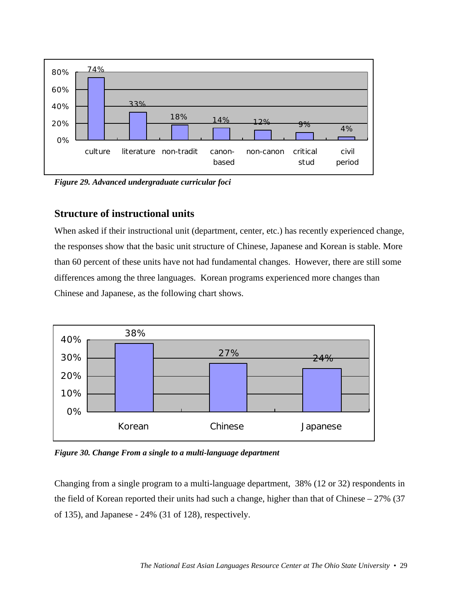

*Figure 29. Advanced undergraduate curricular foci*

## **Structure of instructional units**

When asked if their instructional unit (department, center, etc.) has recently experienced change, the responses show that the basic unit structure of Chinese, Japanese and Korean is stable. More than 60 percent of these units have not had fundamental changes. However, there are still some differences among the three languages. Korean programs experienced more changes than Chinese and Japanese, as the following chart shows.



*Figure 30. Change From a single to a multi-language department*

Changing from a single program to a multi-language department, 38% (12 or 32) respondents in the field of Korean reported their units had such a change, higher than that of Chinese  $-27\%$  (37) of 135), and Japanese - 24% (31 of 128), respectively.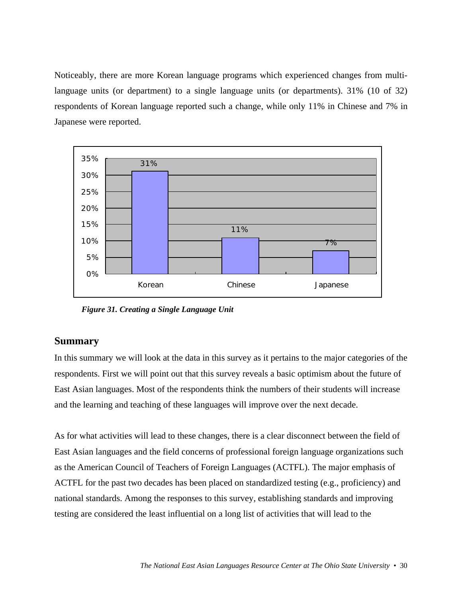Noticeably, there are more Korean language programs which experienced changes from multilanguage units (or department) to a single language units (or departments). 31% (10 of 32) respondents of Korean language reported such a change, while only 11% in Chinese and 7% in Japanese were reported.



*Figure 31. Creating a Single Language Unit*

# **Summary**

In this summary we will look at the data in this survey as it pertains to the major categories of the respondents. First we will point out that this survey reveals a basic optimism about the future of East Asian languages. Most of the respondents think the numbers of their students will increase and the learning and teaching of these languages will improve over the next decade.

As for what activities will lead to these changes, there is a clear disconnect between the field of East Asian languages and the field concerns of professional foreign language organizations such as the American Council of Teachers of Foreign Languages (ACTFL). The major emphasis of ACTFL for the past two decades has been placed on standardized testing (e.g., proficiency) and national standards. Among the responses to this survey, establishing standards and improving testing are considered the least influential on a long list of activities that will lead to the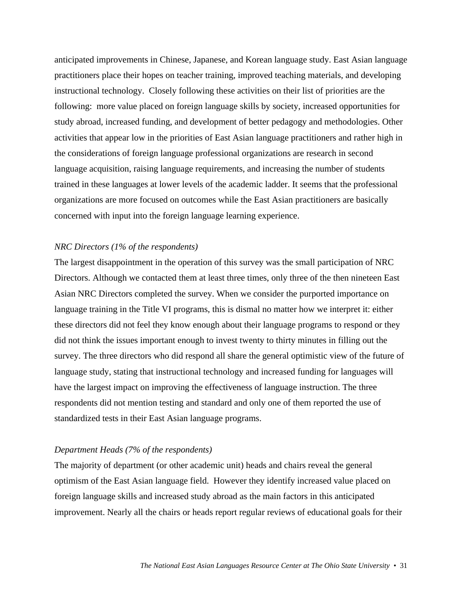anticipated improvements in Chinese, Japanese, and Korean language study. East Asian language practitioners place their hopes on teacher training, improved teaching materials, and developing instructional technology. Closely following these activities on their list of priorities are the following: more value placed on foreign language skills by society, increased opportunities for study abroad, increased funding, and development of better pedagogy and methodologies. Other activities that appear low in the priorities of East Asian language practitioners and rather high in the considerations of foreign language professional organizations are research in second language acquisition, raising language requirements, and increasing the number of students trained in these languages at lower levels of the academic ladder. It seems that the professional organizations are more focused on outcomes while the East Asian practitioners are basically concerned with input into the foreign language learning experience.

#### *NRC Directors (1% of the respondents)*

The largest disappointment in the operation of this survey was the small participation of NRC Directors. Although we contacted them at least three times, only three of the then nineteen East Asian NRC Directors completed the survey. When we consider the purported importance on language training in the Title VI programs, this is dismal no matter how we interpret it: either these directors did not feel they know enough about their language programs to respond or they did not think the issues important enough to invest twenty to thirty minutes in filling out the survey. The three directors who did respond all share the general optimistic view of the future of language study, stating that instructional technology and increased funding for languages will have the largest impact on improving the effectiveness of language instruction. The three respondents did not mention testing and standard and only one of them reported the use of standardized tests in their East Asian language programs.

#### *Department Heads (7% of the respondents)*

The majority of department (or other academic unit) heads and chairs reveal the general optimism of the East Asian language field. However they identify increased value placed on foreign language skills and increased study abroad as the main factors in this anticipated improvement. Nearly all the chairs or heads report regular reviews of educational goals for their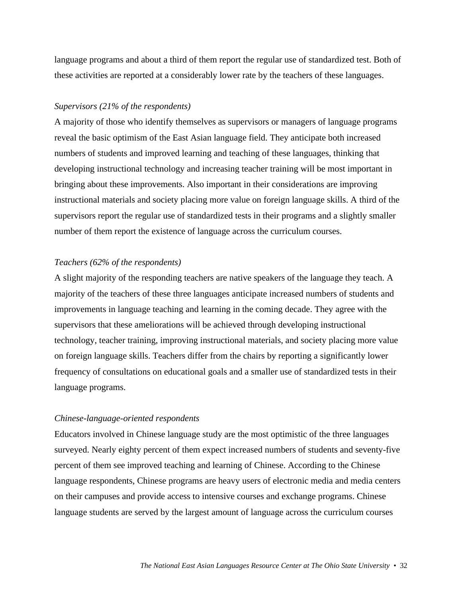language programs and about a third of them report the regular use of standardized test. Both of these activities are reported at a considerably lower rate by the teachers of these languages.

#### *Supervisors (21% of the respondents)*

A majority of those who identify themselves as supervisors or managers of language programs reveal the basic optimism of the East Asian language field. They anticipate both increased numbers of students and improved learning and teaching of these languages, thinking that developing instructional technology and increasing teacher training will be most important in bringing about these improvements. Also important in their considerations are improving instructional materials and society placing more value on foreign language skills. A third of the supervisors report the regular use of standardized tests in their programs and a slightly smaller number of them report the existence of language across the curriculum courses.

#### *Teachers (62% of the respondents)*

A slight majority of the responding teachers are native speakers of the language they teach. A majority of the teachers of these three languages anticipate increased numbers of students and improvements in language teaching and learning in the coming decade. They agree with the supervisors that these ameliorations will be achieved through developing instructional technology, teacher training, improving instructional materials, and society placing more value on foreign language skills. Teachers differ from the chairs by reporting a significantly lower frequency of consultations on educational goals and a smaller use of standardized tests in their language programs.

#### *Chinese-language-oriented respondents*

Educators involved in Chinese language study are the most optimistic of the three languages surveyed. Nearly eighty percent of them expect increased numbers of students and seventy-five percent of them see improved teaching and learning of Chinese. According to the Chinese language respondents, Chinese programs are heavy users of electronic media and media centers on their campuses and provide access to intensive courses and exchange programs. Chinese language students are served by the largest amount of language across the curriculum courses